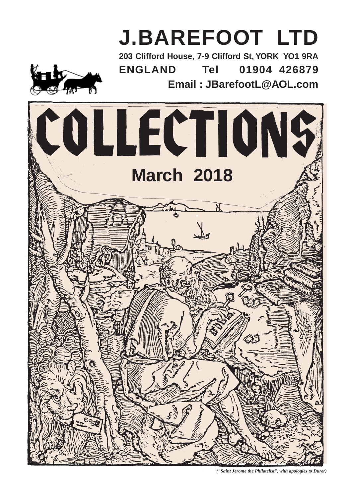

*("Saint Jerome the Philatelist", with apologies to Durer)*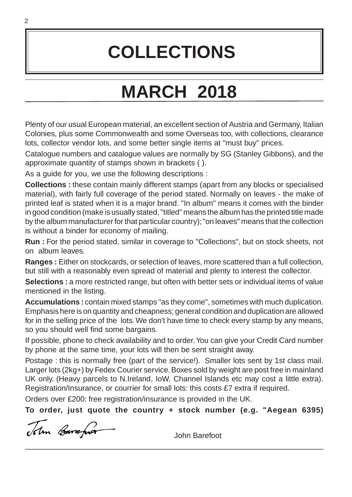# **COLLECTIONS**

# **MARCH 2018**

Plenty of our usual European material, an excellent section of Austria and Germany, Italian Colonies, plus some Commonwealth and some Overseas too, with collections, clearance lots, collector vendor lots, and some better single items at "must buy" prices.

Catalogue numbers and catalogue values are normally by SG (Stanley Gibbons), and the approximate quantity of stamps shown in brackets ( ).

As a guide for you, we use the following descriptions :

**Collections :** these contain mainly different stamps (apart from any blocks or specialised material), with fairly full coverage of the period stated. Normally on leaves - the make of printed leaf is stated when it is a major brand. "In album" means it comes with the binder in good condition (make is usually stated, "titled" means the album has the printed title made by the album manufacturer for that particular country); "on leaves" means that the collection is without a binder for economy of mailing.

**Run :** For the period stated, similar in coverage to "Collections", but on stock sheets, not on album leaves.

**Ranges :** Either on stockcards, or selection of leaves, more scattered than a full collection, but still with a reasonably even spread of material and plenty to interest the collector.

Selections : a more restricted range, but often with better sets or individual items of value mentioned in the listing.

**Accumulations :** contain mixed stamps "as they come", sometimes with much duplication. Emphasis here is on quantity and cheapness; general condition and duplication are allowed for in the selling price of the lots. We don't have time to check every stamp by any means, so you should well find some bargains.

If possible, phone to check availability and to order. You can give your Credit Card number by phone at the same time, your lots will then be sent straight away.

Postage : this is normally free (part of the service!). Smaller lots sent by 1st class mail. Larger lots (2kg+) by Fedex Courier service. Boxes sold by weight are post free in mainland UK only. (Heavy parcels to N.Ireland, IoW, Channel Islands etc may cost a little extra). Registration/Insurance, or courrier for small lots: this costs £7 extra if required.

Orders over £200: free registration/insurance is provided in the UK.

**To order, just quote the country + stock number (e.g. "Aegean 6395)**

\_\_\_\_\_\_\_\_\_\_\_\_\_\_\_\_\_\_\_\_\_\_\_\_\_\_\_\_\_\_\_\_\_\_\_\_\_\_\_\_\_\_\_\_\_\_\_\_\_\_\_\_\_\_\_\_\_\_\_\_\_\_\_\_\_\_\_\_\_\_\_\_\_\_\_\_\_\_\_

John Barefor

John Barefoot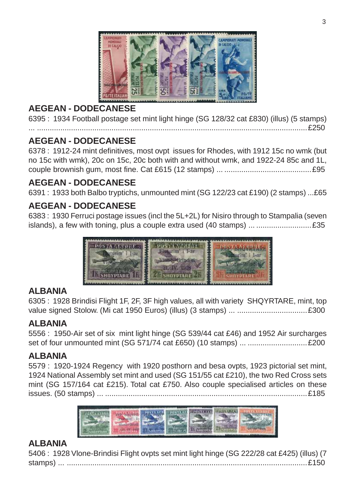

## **AEGEAN - DODECANESE**

6395 : 1934 Football postage set mint light hinge (SG 128/32 cat £830) (illus) (5 stamps)

#### ... ...............................................................................................................................£250 **AEGEAN - DODECANESE**

6378 : 1912-24 mint definitives, most ovpt issues for Rhodes, with 1912 15c no wmk (but no 15c with wmk), 20c on 15c, 20c both with and without wmk, and 1922-24 85c and 1L, couple brownish gum, most fine. Cat £615 (12 stamps) ... .........................................£95

## **AEGEAN - DODECANESE**

6391 : 1933 both Balbo tryptichs, unmounted mint (SG 122/23 cat £190) (2 stamps) ...£65

## **AEGEAN - DODECANESE**

6383 : 1930 Ferruci postage issues (incl the 5L+2L) for Nisiro through to Stampalia (seven islands), a few with toning, plus a couple extra used (40 stamps) ... ..........................£35



#### **ALBANIA**

6305 : 1928 Brindisi Flight 1F, 2F, 3F high values, all with variety SHQYRTARE, mint, top value signed Stolow. (Mi cat 1950 Euros) (illus) (3 stamps) ... .................................£300

#### **ALBANIA**

5556 : 1950-Air set of six mint light hinge (SG 539/44 cat £46) and 1952 Air surcharges set of four unmounted mint (SG 571/74 cat £650) (10 stamps) ... ............................£200

#### **ALBANIA**

5579 : 1920-1924 Regency with 1920 posthorn and besa ovpts, 1923 pictorial set mint, 1924 National Assembly set mint and used (SG 151/55 cat £210), the two Red Cross sets mint (SG 157/164 cat £215). Total cat £750. Also couple specialised articles on these issues. (50 stamps) ... ...............................................................................................£185



#### **ALBANIA**

5406 : 1928 Vlone-Brindisi Flight ovpts set mint light hinge (SG 222/28 cat £425) (illus) (7 stamps) ... .................................................................................................................£150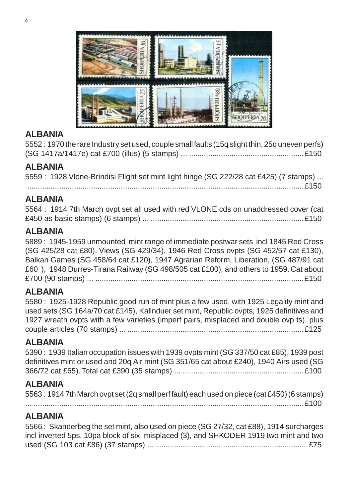



#### **ALBANIA**

5552 : 1970 the rare Industry set used, couple small faults (15q slight thin, 25q uneven perfs) (SG 1417a/1417e) cat £700 (illus) (5 stamps) ... ......................................................£150

#### **ALBANIA**

5559 : 1928 Vlone-Brindisi Flight set mint light hinge (SG 222/28 cat £425) (7 stamps) ...

..................................................................................................................................£150

#### **ALBANIA**

|  | 5564 : 1914 7th March ovpt set all used with red VLONE cds on unaddressed cover (cat |
|--|--------------------------------------------------------------------------------------|
|  |                                                                                      |

#### **ALBANIA**

5889 : 1945-1959 unmounted mint range of immediate postwar sets incl 1845 Red Cross (SG 425/28 cat £80), Views (SG 429/34), 1946 Red Cross ovpts (SG 452/57 cat £130), Balkan Games (SG 458/64 cat £120), 1947 Agrarian Reform, Liberation, (SG 487/91 cat £60 ), 1948 Durres-Tirana Railway (SG 498/505 cat £100), and others to 1959. Cat about £700 (90 stamps) ... ..................................................................................................£150

#### **ALBANIA**

5580 : 1925-1928 Republic good run of mint plus a few used, with 1925 Legality mint and used sets (SG 164a/70 cat £145), Kallnduer set mint, Republic ovpts, 1925 definitives and 1927 wreath ovpts with a few varieties (imperf pairs, misplaced and double ovp ts), plus couple articles (70 stamps) ... ...................................................................................£125

#### **ALBANIA**

5390 : 1939 Italian occupation issues with 1939 ovpts mint (SG 337/50 cat £85), 1939 post definitives mint or used and 20q Air mint (SG 351/65 cat about £240), 1940 Airs used (SG 366/72 cat £65). Total cat £390 (35 stamps) ... .........................................................£100

## **ALBANIA**

5563 : 1914 7th March ovpt set (2q small perf fault) each used on piece (cat £450) (6 stamps) ... ...............................................................................................................................£100

**ALBANIA**

5566 : Skanderbeg the set mint, also used on piece (SG 27/32, cat £88), 1914 surcharges incl inverted 5ps, 10pa block of six, misplaced (3), and SHKODER 1919 two mint and two used (SG 103 cat £86) (37 stamps) ... ........................................................................£75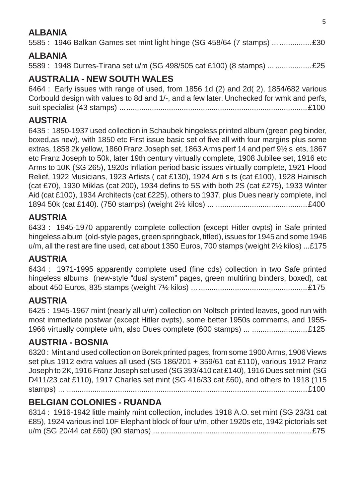## **ALBANIA**

5585 : 1946 Balkan Games set mint light hinge (SG 458/64 (7 stamps) ... ...............£30

#### **ALBANIA**

5589 : 1948 Durres-Tirana set u/m (SG 498/505 cat £100) (8 stamps) ... .................£25

## **AUSTRALIA - NEW SOUTH WALES**

6464 : Early issues with range of used, from 1856 1d (2) and 2d( 2), 1854/682 various Corbould design with values to 8d and 1/-, and a few later. Unchecked for wmk and perfs, suit specialist (43 stamps) ........................................................................................£100

#### **AUSTRIA**

6435 : 1850-1937 used collection in Schaubek hingeless printed album (green peg binder, boxed,as new), with 1850 etc First issue basic set of five all with four margins plus some extras, 1858 2k yellow, 1860 Franz Joseph set, 1863 Arms perf 14 and perf 9½ s ets, 1867 etc Franz Joseph to 50k, later 19th century virtually complete, 1908 Jubilee set, 1916 etc Arms to 10K (SG 265), 1920s inflation period basic issues virtually complete, 1921 Flood Relief, 1922 Musicians, 1923 Artists ( cat £130), 1924 Arti s ts (cat £100), 1928 Hainisch (cat £70), 1930 Miklas (cat 200), 1934 defins to 5S with both 2S (cat £275), 1933 Winter Aid (cat £100), 1934 Architects (cat £225), others to 1937, plus Dues nearly complete, incl 1894 50k (cat £140). (750 stamps) (weight 2½ kilos) ... ...........................................£400

#### **AUSTRIA**

6433 : 1945-1970 apparently complete collection (except Hitler ovpts) in Safe printed hingeless album (old-style pages, green springback, titled), issues for 1945 and some 1946 u/m, all the rest are fine used, cat about 1350 Euros, 700 stamps (weight 2½ kilos) ...£175

#### **AUSTRIA**

6434 : 1971-1995 apparently complete used (fine cds) collection in two Safe printed hingeless albums (new-style "dual system" pages, green multiring binders, boxed), cat about 450 Euros, 835 stamps (weight 7½ kilos) ... ...................................................£175

#### **AUSTRIA**

6425 : 1945-1967 mint (nearly all u/m) collection on Noltsch printed leaves, good run with most immediate postwar (except Hitler ovpts), some better 1950s commems, and 1955- 1966 virtually complete u/m, also Dues complete (600 stamps) ... ..........................£125

## **AUSTRIA - BOSNIA**

6320 : Mint and used collection on Borek printed pages, from some 1900 Arms, 1906 Views set plus 1912 extra values all used (SG 186/201 + 359/61 cat £110), various 1912 Franz Joseph to 2K, 1916 Franz Joseph set used (SG 393/410 cat £140), 1916 Dues set mint (SG D411/23 cat £110), 1917 Charles set mint (SG 416/33 cat £60), and others to 1918 (115 stamps) ... .................................................................................................................£100

## **BELGIAN COLONIES - RUANDA**

6314 : 1916-1942 little mainly mint collection, includes 1918 A.O. set mint (SG 23/31 cat £85), 1924 various incl 10F Elephant block of four u/m, other 1920s etc, 1942 pictorials set u/m (SG 20/44 cat £60) (90 stamps) ..........................................................................£75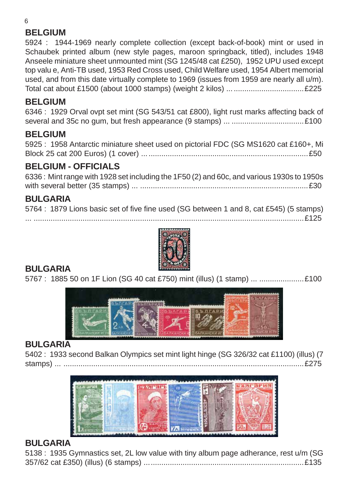## **BELGIUM**

5924 : 1944-1969 nearly complete collection (except back-of-book) mint or used in Schaubek printed album (new style pages, maroon springback, titled), includes 1948 Anseele miniature sheet unmounted mint (SG 1245/48 cat £250), 1952 UPU used except top valu e, Anti-TB used, 1953 Red Cross used, Child Welfare used, 1954 Albert memorial used, and from this date virtually complete to 1969 (issues from 1959 are nearly all u/m). Total cat about £1500 (about 1000 stamps) (weight 2 kilos) ....................................£225

## **BELGIUM**

6346 : 1929 Orval ovpt set mint (SG 543/51 cat £800), light rust marks affecting back of several and 35c no gum, but fresh appearance (9 stamps) ... ..................................£100

## **BELGIUM**

5925 : 1958 Antarctic miniature sheet used on pictorial FDC (SG MS1620 cat £160+, Mi Block 25 cat 200 Euros) (1 cover) ..............................................................................£50

## **BELGIUM - OFFICIALS**

6336 : Mint range with 1928 set including the 1F50 (2) and 60c, and various 1930s to 1950s with several better (35 stamps) ... ...............................................................................£30

## **BULGARIA**

5764 : 1879 Lions basic set of five fine used (SG between 1 and 8, cat £545) (5 stamps) ... ...............................................................................................................................£125



## **BULGARIA**

5767 : 1885 50 on 1F Lion (SG 40 cat £750) mint (illus) (1 stamp) ... .......................£100



## **BULGARIA**

5402 : 1933 second Balkan Olympics set mint light hinge (SG 326/32 cat £1100) (illus) (7 stamps) ... .................................................................................................................£275



#### **BULGARIA**

| 5138 : 1935 Gymnastics set, 2L low value with tiny album page adherance, rest u/m (SG |  |  |  |
|---------------------------------------------------------------------------------------|--|--|--|
|                                                                                       |  |  |  |

6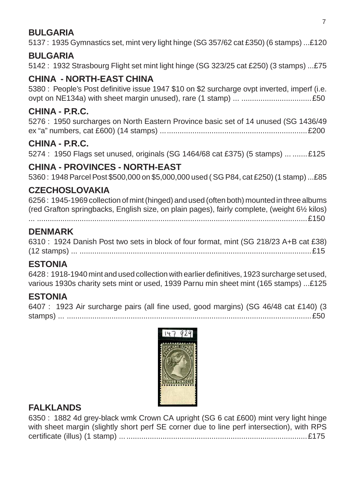## **BULGARIA**

5137 : 1935 Gymnastics set, mint very light hinge (SG 357/62 cat £350) (6 stamps) ...£120

#### **BULGARIA**

5142 : 1932 Strasbourg Flight set mint light hinge (SG 323/25 cat £250) (3 stamps) ...£75

## **CHINA - NORTH-EAST CHINA**

5380 : People's Post definitive issue 1947 \$10 on \$2 surcharge ovpt inverted, imperf (i.e. ovpt on NE134a) with sheet margin unused), rare (1 stamp) ... .................................£50

## **CHINA - P.R.C.**

5276 : 1950 surcharges on North Eastern Province basic set of 14 unused (SG 1436/49 ex "a" numbers, cat £600) (14 stamps) .....................................................................£200

## **CHINA - P.R.C.**

5274 : 1950 Flags set unused, originals (SG 1464/68 cat £375) (5 stamps) ... .......£125

## **CHINA - PROVINCES - NORTH-EAST**

5360 : 1948 Parcel Post \$500,000 on \$5,000,000 used ( SG P84, cat £250) (1 stamp) ...£85

## **CZECHOSLOVAKIA**

6256 : 1945-1969 collection of mint (hinged) and used (often both) mounted in three albums (red Grafton springbacks, English size, on plain pages), fairly complete, (weight 6½ kilos) ... ...............................................................................................................................£150

#### **DENMARK**

6310 : 1924 Danish Post two sets in block of four format, mint (SG 218/23 A+B cat £38) (12 stamps) ... .............................................................................................................£15

## **ESTONIA**

6428 : 1918-1940 mint and used collection with earlier definitives, 1923 surcharge set used, various 1930s charity sets mint or used, 1939 Parnu min sheet mint (165 stamps) ...£125

## **ESTONIA**

|  |  |  |  | 6407 : 1923 Air surcharge pairs (all fine used, good margins) (SG 46/48 cat £140) (3 |  |  |  |
|--|--|--|--|--------------------------------------------------------------------------------------|--|--|--|
|  |  |  |  |                                                                                      |  |  |  |



## **FALKLANDS**

6350 : 1882 4d grey-black wmk Crown CA upright (SG 6 cat £600) mint very light hinge with sheet margin (slightly short perf SE corner due to line perf intersection), with RPS certificate (illus) (1 stamp) ........................................................................................£175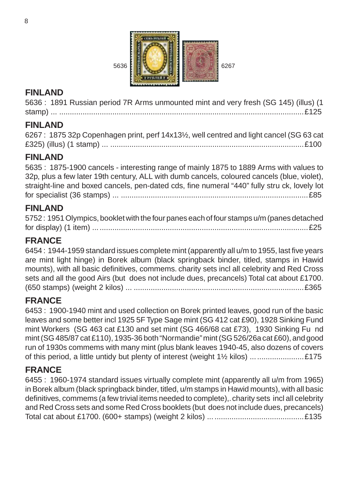

## **FINLAND**

5636 : 1891 Russian period 7R Arms unmounted mint and very fresh (SG 145) (illus) (1 stamp) ... ...................................................................................................................£125

## **FINLAND**

| 6267: 1875 32p Copenhagen print, perf 14x13½, well centred and light cancel (SG 63 cat |  |
|----------------------------------------------------------------------------------------|--|
|                                                                                        |  |

## **FINLAND**

5635 : 1875-1900 cancels - interesting range of mainly 1875 to 1889 Arms with values to 32p, plus a few later 19th century, ALL with dumb cancels, coloured cancels (blue, violet), straight-line and boxed cancels, pen-dated cds, fine numeral "440" fully stru ck, lovely lot for specialist (36 stamps) ... ........................................................................................£85

## **FINLAND**

| 5752: 1951 Olympics, booklet with the four panes each of four stamps u/m (panes detached |  |
|------------------------------------------------------------------------------------------|--|
|                                                                                          |  |

## **FRANCE**

6454 : 1944-1959 standard issues complete mint (apparently all u/m to 1955, last five years are mint light hinge) in Borek album (black springback binder, titled, stamps in Hawid mounts), with all basic definitives, commems. charity sets incl all celebrity and Red Cross sets and all the good Airs (but does not include dues, precancels) Total cat about £1700. (650 stamps) (weight 2 kilos) ... ................................................................................£365

#### **FRANCE**

6453 : 1900-1940 mint and used collection on Borek printed leaves, good run of the basic leaves and some better incl 1925 5F Type Sage mint (SG 412 cat £90), 1928 Sinking Fund mint Workers (SG 463 cat £130 and set mint (SG 466/68 cat £73), 1930 Sinking Fu nd mint (SG 485/87 cat £110), 1935-36 both "Normandie" mint (SG 526/26a cat £60), and good run of 1930s commems with many mint (plus blank leaves 1940-45, also dozens of covers of this period, a little untidy but plenty of interest (weight 1½ kilos) .........................£175

## **FRANCE**

6455 : 1960-1974 standard issues virtually complete mint (apparently all u/m from 1965) in Borek album (black springback binder, titled, u/m stamps in Hawid mounts), with all basic definitives, commems (a few trivial items needed to complete),. charity sets incl all celebrity and Red Cross sets and some Red Cross booklets (but does not include dues, precancels) Total cat about £1700. (600+ stamps) (weight 2 kilos) ... ..........................................£135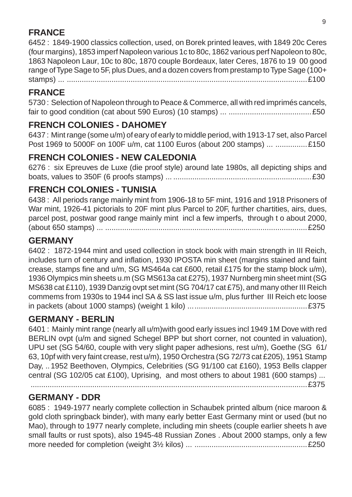## **FRANCE**

6452 : 1849-1900 classics collection, used, on Borek printed leaves, with 1849 20c Ceres (four margins), 1853 imperf Napoleon various 1c to 80c, 1862 various perf Napoleon to 80c, 1863 Napoleon Laur, 10c to 80c, 1870 couple Bordeaux, later Ceres, 1876 to 19 00 good range of Type Sage to 5F, plus Dues, and a dozen covers from prestamp to Type Sage (100+ stamps) ... .................................................................................................................£100

## **FRANCE**

5730 : Selection of Napoleon through to Peace & Commerce, all with red imprimés cancels, fair to good condition (cat about 590 Euros) (10 stamps) ... .......................................£50

## **FRENCH COLONIES - DAHOMEY**

6437 : Mint range (some u/m) of eary of early to middle period, with 1913-17 set, also Parcel Post 1969 to 5000F on 100F u/m, cat 1100 Euros (about 200 stamps) ... ...............£150

## **FRENCH COLONIES - NEW CALEDONIA**

6276 : six Epreuves de Luxe (die proof style) around late 1980s, all depicting ships and boats, values to 350F (6 proofs stamps) ... .................................................................£30

## **FRENCH COLONIES - TUNISIA**

6438 : All periods range mainly mint from 1906-18 to 5F mint, 1916 and 1918 Prisoners of War mint, 1926-41 pictorials to 20F mint plus Parcel to 20F, further chartities, airs, dues, parcel post, postwar good range mainly mint incl a few imperfs, through t o about 2000, (about 650 stamps) ... ...............................................................................................£250

## **GERMANY**

6402 : 1872-1944 mint and used collection in stock book with main strength in III Reich, includes turn of century and inflation, 1930 IPOSTA min sheet (margins stained and faint crease, stamps fine and u/m, SG MS464a cat £600, retail £175 for the stamp block u/m), 1936 Olympics min sheets u.m (SG MS613a cat £275), 1937 Nurnberg min sheet mint (SG MS638 cat £110), 1939 Danzig ovpt set mint (SG 704/17 cat £75), and many other III Reich commems from 1930s to 1944 incl SA & SS last issue u/m, plus further III Reich etc loose in packets (about 1000 stamps) (weight 1 kilo) ........................................................£375

## **GERMANY - BERLIN**

6401 : Mainly mint range (nearly all u/m)with good early issues incl 1949 1M Dove with red BERLIN ovpt (u/m and signed Schegel BPP but short corner, not counted in valuation), UPU set (SG 54/60, couple with very slight paper adhesions, rest u/m), Goethe (SG 61/ 63, 10pf with very faint crease, rest u/m), 1950 Orchestra (SG 72/73 cat £205), 1951 Stamp Day, ..1952 Beethoven, Olympics, Celebrities (SG 91/100 cat £160), 1953 Bells clapper central (SG 102/05 cat £100), Uprising, and most others to about 1981 (600 stamps) ...

..................................................................................................................................£375

## **GERMANY - DDR**

6085 : 1949-1977 nearly complete collection in Schaubek printed album (nice maroon & gold cloth springback binder), with many early better East Germany mint or used (but no Mao), through to 1977 nearly complete, including min sheets (couple earlier sheets h ave small faults or rust spots), also 1945-48 Russian Zones . About 2000 stamps, only a few more needed for completion (weight 3½ kilos) ... .....................................................£250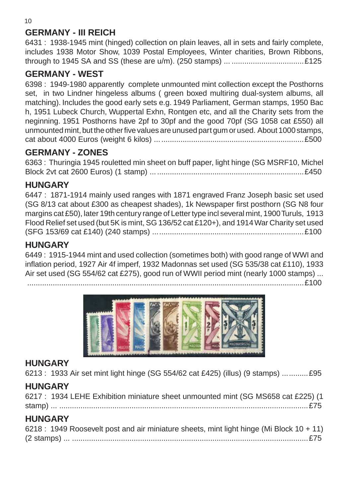## **GERMANY - III REICH**

6431 : 1938-1945 mint (hinged) collection on plain leaves, all in sets and fairly complete, includes 1938 Motor Show, 1039 Postal Employees, Winter charities, Brown Ribbons, through to 1945 SA and SS (these are u/m). (250 stamps) ... ..................................£125

#### **GERMANY - WEST**

6398 : 1949-1980 apparently complete unmounted mint collection except the Posthorns set, in two Lindner hingeless albums ( green boxed multiring dual-system albums, all matching). Includes the good early sets e.g. 1949 Parliament, German stamps, 1950 Bac h, 1951 Lubeck Church, Wuppertal Exhn, Rontgen etc, and all the Charity sets from the neginning. 1951 Posthorns have 2pf to 30pf and the good 70pf (SG 1058 cat £550) all unmounted mint, but the other five values are unused part gum or used. About 1000 stamps, cat about 4000 Euros (weight 6 kilos) ......................................................................£500

## **GERMANY - ZONES**

6363 : Thuringia 1945 rouletted min sheet on buff paper, light hinge (SG MSRF10, Michel Block 2vt cat 2600 Euros) (1 stamp) ........................................................................£450

#### **HUNGARY**

6447 : 1871-1914 mainly used ranges with 1871 engraved Franz Joseph basic set used (SG 8/13 cat about £300 as cheapest shades), 1k Newspaper first posthorn (SG N8 four margins cat £50), later 19th century range of Letter type incl several mint, 1900 Turuls, 1913 Flood Relief set used (but 5K is mint, SG 136/52 cat £120+), and 1914 War Charity set used (SFG 153/69 cat £140) (240 stamps) .......................................................................£100

## **HUNGARY**

6449 : 1915-1944 mint and used collection (sometimes both) with good range of WWI and inflation period, 1927 Air 4f imperf, 1932 Madonnas set used (SG 535/38 cat £110), 1933 Air set used (SG 554/62 cat £275), good run of WWII period mint (nearly 1000 stamps) ...

..................................................................................................................................£100



## **HUNGARY**

6213 : 1933 Air set mint light hinge (SG 554/62 cat £425) (illus) (9 stamps) ............£95

## **HUNGARY**

| 6217 : 1934 LEHE Exhibition miniature sheet unmounted mint (SG MS658 cat £225) (1 |  |
|-----------------------------------------------------------------------------------|--|
|                                                                                   |  |

## **HUNGARY**

| 6218 : 1949 Roosevelt post and air miniature sheets, mint light hinge (Mi Block 10 + 11) |  |  |
|------------------------------------------------------------------------------------------|--|--|
|                                                                                          |  |  |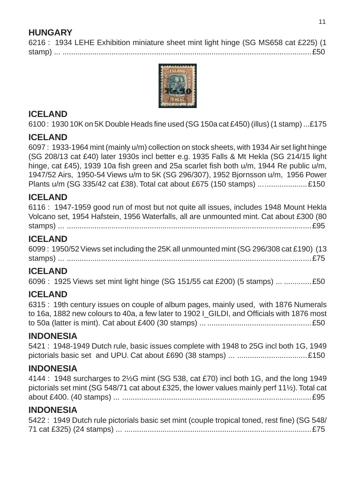## **HUNGARY**

6216 : 1934 LEHE Exhibition miniature sheet mint light hinge (SG MS658 cat £225) (1 stamp) ... .....................................................................................................................£50



#### **ICELAND**

6100 : 1930 10K on 5K Double Heads fine used (SG 150a cat £450) (illus) (1 stamp) ...£175

#### **ICELAND**

6097 : 1933-1964 mint (mainly u/m) collection on stock sheets, with 1934 Air set light hinge (SG 208/13 cat £40) later 1930s incl better e.g. 1935 Falls & Mt Hekla (SG 214/15 light hinge, cat £45), 1939 10a fish green and 25a scarlet fish both u/m, 1944 Re public u/m, 1947/52 Airs, 1950-54 Views u/m to 5K (SG 296/307), 1952 Bjornsson u/m, 1956 Power Plants u/m (SG 335/42 cat £38). Total cat about £675 (150 stamps) .......................£150

#### **ICELAND**

6116 : 1947-1959 good run of most but not quite all issues, includes 1948 Mount Hekla Volcano set, 1954 Hafstein, 1956 Waterfalls, all are unmounted mint. Cat about £300 (80 stamps) ... ...................................................................................................................£95

#### **ICELAND**

6099 : 1950/52 Views set including the 25K all unmounted mint (SG 296/308 cat £190) (13 stamps) ... ...................................................................................................................£75

#### **ICELAND**

6096 : 1925 Views set mint light hinge (SG 151/55 cat £200) (5 stamps) ... .............£50

#### **ICELAND**

6315 : 19th century issues on couple of album pages, mainly used, with 1876 Numerals to 16a, 1882 new colours to 40a, a few later to 1902 | GILDI, and Officials with 1876 most to 50a (latter is mint). Cat about £400 (30 stamps) ... .................................................£50

#### **INDONESIA**

5421 : 1948-1949 Dutch rule, basic issues complete with 1948 to 25G incl both 1G, 1949 pictorials basic set and UPU. Cat about £690 (38 stamps) ... .................................£150

#### **INDONESIA**

4144 : 1948 surcharges to 2½G mint (SG 538, cat £70) incl both 1G, and the long 1949 pictorials set mint (SG 548/71 cat about £325, the lower values mainly perf 11½). Total cat about £400. (40 stamps) ... .........................................................................................£95

#### **INDONESIA**

| 5422 : 1949 Dutch rule pictorials basic set mint (couple tropical toned, rest fine) (SG 548/ |  |
|----------------------------------------------------------------------------------------------|--|
|                                                                                              |  |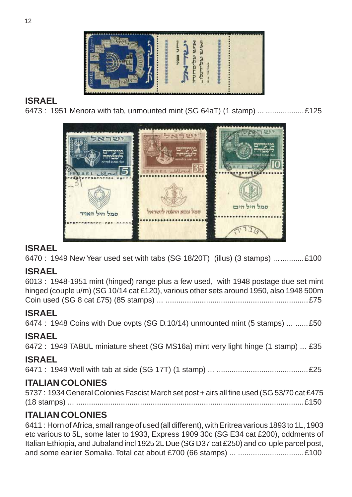

## **ISRAEL**

6473 : 1951 Menora with tab, unmounted mint (SG 64aT) (1 stamp) ... ..................£125



## **ISRAEL**

6470 : 1949 New Year used set with tabs (SG 18/20T) (illus) (3 stamps) ..............£100

## **ISRAEL**

6013 : 1948-1951 mint (hinged) range plus a few used, with 1948 postage due set mint hinged (couple u/m) (SG 10/14 cat £120), various other sets around 1950, also 1948 500m Coin used (SG 8 cat £75) (85 stamps) ... ...................................................................£75

## **ISRAEL**

6474 : 1948 Coins with Due ovpts (SG D.10/14) unmounted mint (5 stamps) ... ......£50

## **ISRAEL**

6472 : 1949 TABUL miniature sheet (SG MS16a) mint very light hinge (1 stamp) ... £35

## **ISRAEL**

6471 : 1949 Well with tab at side (SG 17T) (1 stamp) ... ...........................................£25

## **ITALIAN COLONIES**

| 5737: 1934 General Colonies Fascist March set post + airs all fine used (SG 53/70 cat £475 |  |
|--------------------------------------------------------------------------------------------|--|
|                                                                                            |  |

## **ITALIAN COLONIES**

6411 : Horn of Africa, small range of used (all different), with Eritrea various 1893 to 1L, 1903 etc various to 5L, some later to 1933, Express 1909 30c (SG E34 cat £200), oddments of Italian Ethiopia, and Jubaland incl 1925 2L Due (SG D37 cat £250) and co uple parcel post, and some earlier Somalia. Total cat about £700 (66 stamps) ... ...............................£100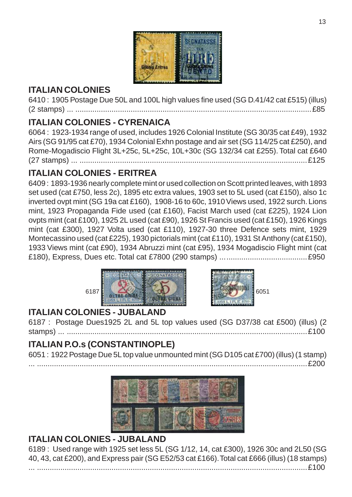

## **ITALIAN COLONIES**

6410 : 1905 Postage Due 50L and 100L high values fine used (SG D.41/42 cat £515) (illus) (2 stamps) ... ...............................................................................................................£85

## **ITALIAN COLONIES - CYRENAICA**

6064 : 1923-1934 range of used, includes 1926 Colonial Institute (SG 30/35 cat £49), 1932 Airs (SG 91/95 cat £70), 1934 Colonial Exhn postage and air set (SG 114/25 cat £250), and Rome-Mogadiscio Flight 3L+25c, 5L+25c, 10L+30c (SG 132/34 cat £255). Total cat £640 (27 stamps) ... ...........................................................................................................£125

## **ITALIAN COLONIES - ERITREA**

6409 : 1893-1936 nearly complete mint or used collection on Scott printed leaves, with 1893 set used (cat £750, less 2c), 1895 etc extra values, 1903 set to 5L used (cat £150), also 1c inverted ovpt mint (SG 19a cat £160), 1908-16 to 60c, 1910 Views used, 1922 surch. Lions mint, 1923 Propaganda Fide used (cat £160), Facist March used (cat £225), 1924 Lion ovpts mint (cat £100), 1925 2L used (cat £90), 1926 St Francis used (cat £150), 1926 Kings mint (cat £300), 1927 Volta used (cat £110), 1927-30 three Defence sets mint, 1929 Montecassino used (cat £225), 1930 pictorials mint (cat £110), 1931 St Anthony (cat £150), 1933 Views mint (cat £90), 1934 Abruzzi mint (cat £95), 1934 Mogadiscio Flight mint (cat £180), Express, Dues etc. Total cat £7800 (290 stamps) .........................................£950





... ...............................................................................................................................£200

## **ITALIAN COLONIES - JUBALAND**

6187 : Postage Dues1925 2L and 5L top values used (SG D37/38 cat £500) (illus) (2 stamps) ... .................................................................................................................£100

## **ITALIAN P.O.s (CONSTANTINOPLE)**

6051 : 1922 Postage Due 5L top value unmounted mint (SG D105 cat £700) (illus) (1 stamp)



## **ITALIAN COLONIES - JUBALAND**

6189 : Used range with 1925 set less 5L (SG 1/12, 14, cat £300), 1926 30c and 2L50 (SG 40, 43, cat £200), and Express pair (SG E52/53 cat £166). Total cat £666 (illus) (18 stamps) ... ...............................................................................................................................£100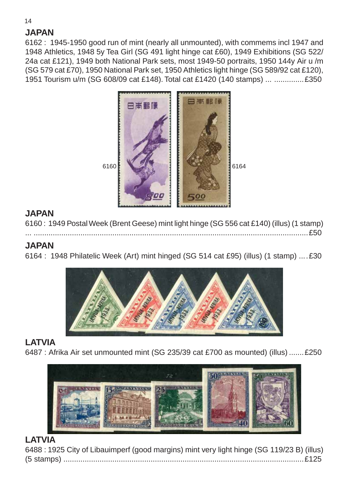## **JAPAN**

6162 : 1945-1950 good run of mint (nearly all unmounted), with commems incl 1947 and 1948 Athletics, 1948 5y Tea Girl (SG 491 light hinge cat £60), 1949 Exhibitions (SG 522/ 24a cat £121), 1949 both National Park sets, most 1949-50 portraits, 1950 144y Air u /m (SG 579 cat £70), 1950 National Park set, 1950 Athletics light hinge (SG 589/92 cat £120), 1951 Tourism u/m (SG 608/09 cat £148). Total cat £1420 (140 stamps) ... ..............£350



## **JAPAN**

6160 : 1949 Postal Week (Brent Geese) mint light hinge (SG 556 cat £140) (illus) (1 stamp) ... .................................................................................................................................£50

## **JAPAN**

6164 : 1948 Philatelic Week (Art) mint hinged (SG 514 cat £95) (illus) (1 stamp) ....£30



## **LATVIA**

6487 : Afrika Air set unmounted mint (SG 235/39 cat £700 as mounted) (illus) .......£250



## **LATVIA**

| 6488 : 1925 City of Libauimperf (good margins) mint very light hinge (SG 119/23 B) (illus) |  |  |  |
|--------------------------------------------------------------------------------------------|--|--|--|
|                                                                                            |  |  |  |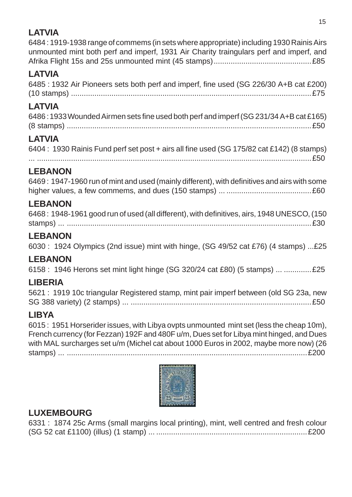## **LATVIA**

6484 : 1919-1938 range of commems (in sets where appropriate) including 1930 Rainis Airs unmounted mint both perf and imperf, 1931 Air Charity traingulars perf and imperf, and Afrika Flight 15s and 25s unmounted mint (45 stamps)..............................................£85

## **LATVIA**

| 6485 : 1932 Air Pioneers sets both perf and imperf, fine used (SG 226/30 A+B cat £200) |  |
|----------------------------------------------------------------------------------------|--|
|                                                                                        |  |

## **LATVIA**

| 6486:1933 Wounded Airmen sets fine used both perf and imperf (SG 231/34 A+B cat £165) |  |
|---------------------------------------------------------------------------------------|--|
|                                                                                       |  |

## **LATVIA**

| 6404 : 1930 Rainis Fund perf set post + airs all fine used (SG 175/82 cat £142) (8 stamps) |  |
|--------------------------------------------------------------------------------------------|--|
|                                                                                            |  |

## **LEBANON**

| 6469: 1947-1960 run of mint and used (mainly different), with definitives and airs with some |  |
|----------------------------------------------------------------------------------------------|--|
|                                                                                              |  |

## **LEBANON**

| 6468: 1948-1961 good run of used (all different), with definitives, airs, 1948 UNESCO, (150 |  |
|---------------------------------------------------------------------------------------------|--|
|                                                                                             |  |

## **LEBANON**

6030 : 1924 Olympics (2nd issue) mint with hinge, (SG 49/52 cat £76) (4 stamps) ...£25

## **LEBANON**

6158 : 1946 Herons set mint light hinge (SG 320/24 cat £80) (5 stamps) ... .............£25

## **LIBERIA**

5621 : 1919 10c triangular Registered stamp, mint pair imperf between (old SG 23a, new SG 388 variety) (2 stamps) ... .....................................................................................£50

## **LIBYA**

6015 : 1951 Horserider issues, with Libya ovpts unmounted mint set (less the cheap 10m), French currency (for Fezzan) 192F and 480F u/m, Dues set for Libya mint hinged, and Dues with MAL surcharges set u/m (Michel cat about 1000 Euros in 2002, maybe more now) (26 stamps) ... .................................................................................................................£200



## **LUXEMBOURG**

| 6331: 1874 25c Arms (small margins local printing), mint, well centred and fresh colour |  |  |  |
|-----------------------------------------------------------------------------------------|--|--|--|
|                                                                                         |  |  |  |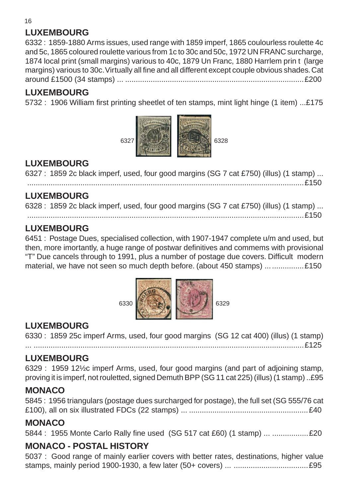## **LUXEMBOURG**

6332 : 1859-1880 Arms issues, used range with 1859 imperf, 1865 coulourless roulette 4c and 5c, 1865 coloured roulette various from 1c to 30c and 50c, 1972 UN FRANC surcharge, 1874 local print (small margins) various to 40c, 1879 Un Franc, 1880 Harrlem prin t (large margins) various to 30c. Virtually all fine and all different except couple obvious shades. Cat around £1500 (34 stamps) ... ....................................................................................£200

## **LUXEMBOURG**

5732 : 1906 William first printing sheetlet of ten stamps, mint light hinge (1 item) ...£175



#### **LUXEMBOURG**

6327 : 1859 2c black imperf, used, four good margins (SG 7 cat £750) (illus) (1 stamp) ... ..................................................................................................................................£150

**LUXEMBOURG**

6328 : 1859 2c black imperf, used, four good margins (SG 7 cat £750) (illus) (1 stamp) ... ..................................................................................................................................£150

#### **LUXEMBOURG**

6451 : Postage Dues, specialised collection, with 1907-1947 complete u/m and used, but then, more imortantly, a huge range of postwar definitives and commems with provisional "T" Due cancels through to 1991, plus a number of postage due covers. Difficult modern material, we have not seen so much depth before. (about 450 stamps) ... .................£150



## **LUXEMBOURG**

6330 : 1859 25c imperf Arms, used, four good margins (SG 12 cat 400) (illus) (1 stamp) ... ...............................................................................................................................£125

## **LUXEMBOURG**

6329 : 1959 12½c imperf Arms, used, four good margins (and part of adjoining stamp, proving it is imperf, not rouletted, signed Demuth BPP (SG 11 cat 225) (illus) (1 stamp) ..£95

## **MONACO**

5845 : 1956 triangulars (postage dues surcharged for postage), the full set (SG 555/76 cat £100), all on six illustrated FDCs (22 stamps) ... ........................................................£40

#### **MONACO**

5844 : 1955 Monte Carlo Rally fine used (SG 517 cat £60) (1 stamp) ... .................£20

## **MONACO - POSTAL HISTORY**

5037 : Good range of mainly earlier covers with better rates, destinations, higher value stamps, mainly period 1900-1930, a few later (50+ covers) ... ...................................£95

16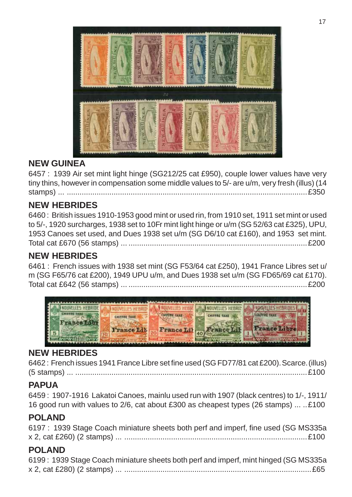

## **NEW GUINEA**

6457 : 1939 Air set mint light hinge (SG212/25 cat £950), couple lower values have very tiny thins, however in compensation some middle values to 5/- are u/m, very fresh (illus) (14 stamps) ... .................................................................................................................£350

#### **NEW HEBRIDES**

6460 : British issues 1910-1953 good mint or used rin, from 1910 set, 1911 set mint or used to 5/-, 1920 surcharges, 1938 set to 10Fr mint light hinge or u/m (SG 52/63 cat £325), UPU, 1953 Canoes set used, and Dues 1938 set u/m (SG D6/10 cat £160), and 1953 set mint. Total cat £670 (56 stamps) ... ....................................................................................£200

## **NEW HEBRIDES**

6461 : French issues with 1938 set mint (SG F53/64 cat £250), 1941 France Libres set u/ m (SG F65/76 cat £200), 1949 UPU u/m, and Dues 1938 set u/m (SG FD65/69 cat £170). Total cat £642 (56 stamps) ... ....................................................................................£200



## **NEW HEBRIDES**

6462 : French issues 1941 France Libre set fine used (SG FD77/81 cat £200). Scarce. (illus) (5 stamps) ... .............................................................................................................£100

## **PAPUA**

6459 : 1907-1916 Lakatoi Canoes, mainlu used run with 1907 (black centres) to 1/-, 1911/ 16 good run with values to 2/6, cat about £300 as cheapest types (26 stamps) ... ..£100

#### **POLAND**

| 6197 : 1939 Stage Coach miniature sheets both perf and imperf, fine used (SG MS335a) |  |  |  |  |  |
|--------------------------------------------------------------------------------------|--|--|--|--|--|
|                                                                                      |  |  |  |  |  |

## **POLAND**

| 6199: 1939 Stage Coach miniature sheets both perf and imperf, mint hinged (SG MS335a) |
|---------------------------------------------------------------------------------------|
|                                                                                       |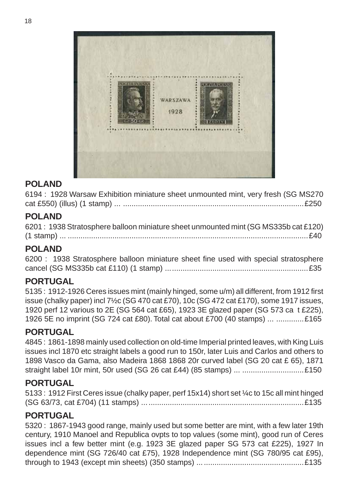

#### **POLAND**

6194 : 1928 Warsaw Exhibition miniature sheet unmounted mint, very fresh (SG MS270 cat £550) (illus) (1 stamp) ... .....................................................................................£250

#### **POLAND**

| 6201: 1938 Stratosphere balloon miniature sheet unmounted mint (SG MS335b cat £120) |  |
|-------------------------------------------------------------------------------------|--|
|                                                                                     |  |

#### **POLAND**

6200 : 1938 Stratosphere balloon miniature sheet fine used with special stratosphere cancel (SG MS335b cat £110) (1 stamp) ...................................................................£35

## **PORTUGAL**

5135 : 1912-1926 Ceres issues mint (mainly hinged, some u/m) all different, from 1912 first issue (chalky paper) incl 7½c (SG 470 cat £70), 10c (SG 472 cat £170), some 1917 issues, 1920 perf 12 various to 2E (SG 564 cat £65), 1923 3E glazed paper (SG 573 ca t £225), 1926 5E no imprint (SG 724 cat £80). Total cat about £700 (40 stamps) ... .............£165

#### **PORTUGAL**

4845 : 1861-1898 mainly used collection on old-time Imperial printed leaves, with King Luis issues incl 1870 etc straight labels a good run to 150r, later Luis and Carlos and others to 1898 Vasco da Gama, also Madeira 1868 1868 20r curved label (SG 20 cat £ 65), 1871 straight label 10r mint, 50r used (SG 26 cat £44) (85 stamps) ... .............................£150

#### **PORTUGAL**

5133 : 1912 First Ceres issue (chalky paper, perf 15x14) short set ¼c to 15c all mint hinged (SG 63/73, cat £704) (11 stamps) ............................................................................£135

#### **PORTUGAL**

5320 : 1867-1943 good range, mainly used but some better are mint, with a few later 19th century, 1910 Manoel and Republica ovpts to top values (some mint), good run of Ceres issues incl a few better mint (e.g. 1923 3E glazed paper SG 573 cat £225), 1927 In dependence mint (SG 726/40 cat £75), 1928 Independence mint (SG 780/95 cat £95), through to 1943 (except min sheets) (350 stamps) ..................................................£135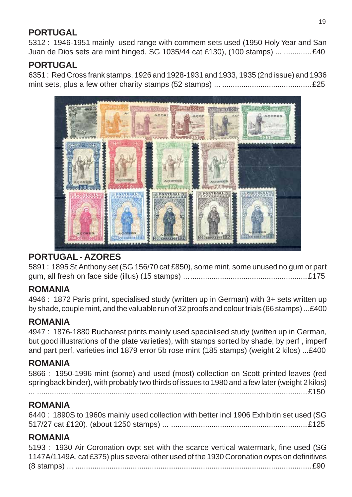## **PORTUGAL**

5312 : 1946-1951 mainly used range with commem sets used (1950 Holy Year and San Juan de Dios sets are mint hinged, SG 1035/44 cat £130), (100 stamps) ... .............£40

## **PORTUGAL**

6351 : Red Cross frank stamps, 1926 and 1928-1931 and 1933, 1935 (2nd issue) and 1936 mint sets, plus a few other charity stamps (52 stamps) ... ..........................................£25



## **PORTUGAL - AZORES**

5891 : 1895 St Anthony set (SG 156/70 cat £850), some mint, some unused no gum or part gum, all fresh on face side (illus) (15 stamps) ..........................................................£175

## **ROMANIA**

4946 : 1872 Paris print, specialised study (written up in German) with 3+ sets written up by shade, couple mint, and the valuable run of 32 proofs and colour trials (66 stamps) ...£400

#### **ROMANIA**

4947 : 1876-1880 Bucharest prints mainly used specialised study (written up in German, but good illustrations of the plate varieties), with stamps sorted by shade, by perf , imperf and part perf, varieties incl 1879 error 5b rose mint (185 stamps) (weight 2 kilos) ...£400

## **ROMANIA**

5866 : 1950-1996 mint (some) and used (most) collection on Scott printed leaves (red springback binder), with probably two thirds of issues to 1980 and a few later (weight 2 kilos)

... ...............................................................................................................................£150

#### **ROMANIA**

6440 : 1890S to 1960s mainly used collection with better incl 1906 Exhibitin set used (SG 517/27 cat £120). (about 1250 stamps) ... ................................................................£125

## **ROMANIA**

5193 : 1930 Air Coronation ovpt set with the scarce vertical watermark, fine used (SG 1147A/1149A, cat £375) plus several other used of the 1930 Coronation ovpts on definitives (8 stamps) ... ...............................................................................................................£90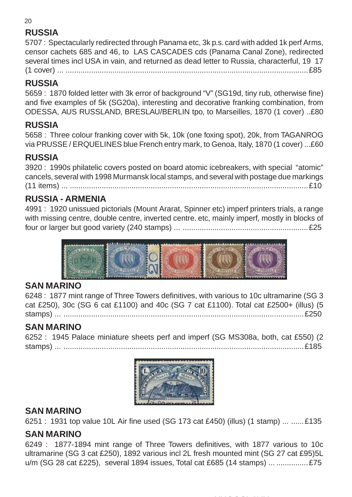## **RUSSIA**

5707 : Spectacularly redirected through Panama etc, 3k p.s. card with added 1k perf Arms, censor cachets 685 and 46, to LAS CASCADES cds (Panama Canal Zone), redirected several times incl USA in vain, and returned as dead letter to Russia, characterful, 19 17 (1 cover) ... ..................................................................................................................£85

## **RUSSIA**

5659 : 1870 folded letter with 3k error of background "V" (SG19d, tiny rub, otherwise fine) and five examples of 5k (SG20a), interesting and decorative franking combination, from ODESSA, AUS RUSSLAND, BRESLAU/BERLIN tpo, to Marseilles, 1870 (1 cover) ..£80

## **RUSSIA**

5658 : Three colour franking cover with 5k, 10k (one foxing spot), 20k, from TAGANROG via PRUSSE / ERQUELINES blue French entry mark, to Genoa, Italy, 1870 (1 cover) ...£60

## **RUSSIA**

3920 : 1990s philatelic covers posted on board atomic icebreakers, with special "atomic" cancels, several with 1998 Murmansk local stamps, and several with postage due markings (11 items) ... ................................................................................................................£10

## **RUSSIA - ARMENIA**

4991 : 1920 unissued pictorials (Mount Ararat, Spinner etc) imperf printers trials, a range with missing centre, double centre, inverted centre. etc, mainly imperf, mostly in blocks of four or larger but good variety (240 stamps) ... ...........................................................£25



#### **SAN MARINO**

6248 : 1877 mint range of Three Towers definitives, with various to 10c ultramarine (SG 3 cat £250), 30c (SG 6 cat £1100) and 40c (SG 7 cat £1100). Total cat £2500+ (illus) (5 stamps) ... .................................................................................................................£250

## **SAN MARINO**

6252 : 1945 Palace miniature sheets perf and imperf (SG MS308a, both, cat £550) (2 stamps) ... .................................................................................................................£185



## **SAN MARINO**

6251 : 1931 top value 10L Air fine used (SG 173 cat £450) (illus) (1 stamp) ... ......£135

#### **SAN MARINO**

6249 : 1877-1894 mint range of Three Towers definitives, with 1877 various to 10c ultramarine (SG 3 cat £250), 1892 various incl 2L fresh mounted mint (SG 27 cat £95)5L u/m (SG 28 cat £225), several 1894 issues, Total cat £685 (14 stamps) ... ...............£75

20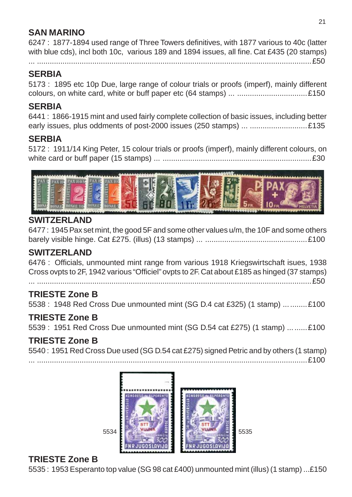## **SAN MARINO**

6247 : 1877-1894 used range of Three Towers definitives, with 1877 various to 40c (latter with blue cds), incl both 10c, various 189 and 1894 issues, all fine. Cat £435 (20 stamps)

... .................................................................................................................................£50

#### **SERBIA**

5173 : 1895 etc 10p Due, large range of colour trials or proofs (imperf), mainly different colours, on white card, white or buff paper etc (64 stamps) ... .................................£150

#### **SERBIA**

6441 : 1866-1915 mint and used fairly complete collection of basic issues, including better early issues, plus oddments of post-2000 issues (250 stamps) ... ...........................£135

#### **SERBIA**

5172 : 1911/14 King Peter, 15 colour trials or proofs (imperf), mainly different colours, on white card or buff paper (15 stamps) ... ......................................................................£30



#### **SWITZERLAND**

6477 : 1945 Pax set mint, the good 5F and some other values u/m, the 10F and some others barely visible hinge. Cat £275. (illus) (13 stamps) ... ................................................£100

#### **SWITZERLAND**

6476 : Officials, unmounted mint range from various 1918 Kriegswirtschaft isues, 1938 Cross ovpts to 2F, 1942 various "Officiel" ovpts to 2F. Cat about £185 as hinged (37 stamps)

... .................................................................................................................................£50

## **TRIESTE Zone B**

5538 : 1948 Red Cross Due unmounted mint (SG D.4 cat £325) (1 stamp) ...........£100

## **TRIESTE Zone B**

5539 : 1951 Red Cross Due unmounted mint (SG D.54 cat £275) (1 stamp) .........£100

#### **TRIESTE Zone B**

5540 : 1951 Red Cross Due used (SG D.54 cat £275) signed Petric and by others (1 stamp)

... ...............................................................................................................................£100



## **TRIESTE Zone B**

5535 : 1953 Esperanto top value (SG 98 cat £400) unmounted mint (illus) (1 stamp) ...£150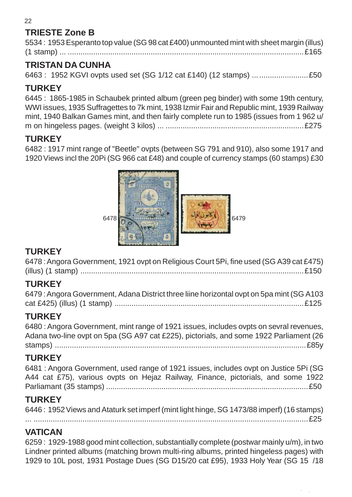## **TRIESTE Zone B**

| 5534: 1953 Esperanto top value (SG 98 cat £400) unmounted mint with sheet margin (illus) |
|------------------------------------------------------------------------------------------|
|                                                                                          |

## **TRISTAN DA CUNHA**

6463 : 1952 KGVI ovpts used set (SG 1/12 cat £140) (12 stamps) ..........................£50

## **TURKEY**

6445 : 1865-1985 in Schaubek printed album (green peg binder) with some 19th century, WWI issues, 1935 Suffragettes to 7k mint, 1938 Izmir Fair and Republic mint, 1939 Railway mint, 1940 Balkan Games mint, and then fairly complete run to 1985 (issues from 1 962 u/ m on hingeless pages. (weight 3 kilos) ... .................................................................£275

## **TURKEY**

6482 : 1917 mint range of "Beetle" ovpts (between SG 791 and 910), also some 1917 and 1920 Views incl the 20Pi (SG 966 cat £48) and couple of currency stamps (60 stamps) £30



## **TURKEY**

6478 : Angora Government, 1921 ovpt on Religious Court 5Pi, fine used (SG A39 cat £475) (illus) (1 stamp) .........................................................................................................£150

## **TURKEY**

| 6479 : Angora Government, Adana District three liine horizontal ovpt on 5pa mint (SG A103 |  |
|-------------------------------------------------------------------------------------------|--|
|                                                                                           |  |

## **TURKEY**

6480 : Angora Government, mint range of 1921 issues, includes ovpts on sevral revenues, Adana two-line ovpt on 5pa (SG A97 cat £225), pictorials, and some 1922 Parliament (26 stamps) ......................................................................................................................£85y

## **TURKEY**

6481 : Angora Government, used range of 1921 issues, includes ovpt on Justice 5Pi (SG A44 cat £75), various ovpts on Hejaz Railway, Finance, pictorials, and some 1922 Parliamant (35 stamps) ...............................................................................................£50

## **TURKEY**

| 6446: 1952 Views and Ataturk set imperf (mint light hinge, SG 1473/88 imperf) (16 stamps) |  |
|-------------------------------------------------------------------------------------------|--|
|                                                                                           |  |

... .................................................................................................................................£25

## **VATICAN**

6259 : 1929-1988 good mint collection, substantially complete (postwar mainly u/m), in two Lindner printed albums (matching brown multi-ring albums, printed hingeless pages) with 1929 to 10L post, 1931 Postage Dues (SG D15/20 cat £95), 1933 Holy Year (SG 15 /18

22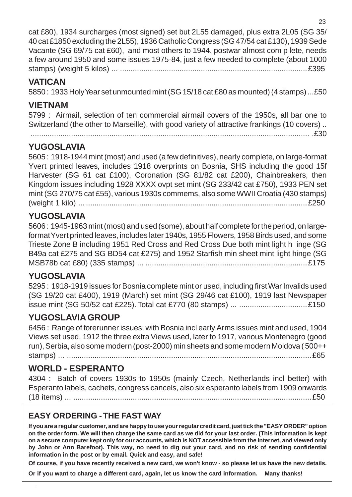cat £80), 1934 surcharges (most signed) set but 2L55 damaged, plus extra 2L05 (SG 35/ 40 cat £1850 excluding the 2L55), 1936 Catholic Congress (SG 47/54 cat £130), 1939 Sede Vacante (SG 69/75 cat £60), and most others to 1944, postwar almost com p lete, needs a few around 1950 and some issues 1975-84, just a few needed to complete (about 1000 stamps) (weight 5 kilos) ... ........................................................................................£395

#### **VATICAN**

5850 : 1933 Holy Year set unmounted mint (SG 15/18 cat £80 as mounted) (4 stamps) ...£50

## **VIETNAM**

5799 : Airmail, selection of ten commercial airmail covers of the 1950s, all bar one to Switzerland (the other to Marseille), with good variety of attractive frankings (10 covers) ..

................................................................................................................................... .£30

## **YUGOSLAVIA**

5605 : 1918-1944 mint (most) and used (a few definitives), nearly complete, on large-format Yvert printed leaves, includes 1918 overprints on Bosnia, SHS including the good 15f Harvester (SG 61 cat £100), Coronation (SG 81/82 cat £200), Chainbreakers, then Kingdom issues including 1928 XXXX ovpt set mint (SG 233/42 cat £750), 1933 PEN set mint (SG 270/75 cat £55), various 1930s commems, also some WWII Croatia (430 stamps) (weight 1 kilo) ... ........................................................................................................£250

## **YUGOSLAVIA**

5606 : 1945-1963 mint (most) and used (some), about half complete for the period, on largeformat Yvert printed leaves, includes later 1940s, 1955 Flowers, 1958 Birds used, and some Trieste Zone B including 1951 Red Cross and Red Cross Due both mint light h inge (SG B49a cat £275 and SG BD54 cat £275) and 1952 Starfish min sheet mint light hinge (SG MSB78b cat £80) (335 stamps) ... ............................................................................£175

## **YUGOSLAVIA**

5295 : 1918-1919 issues for Bosnia complete mint or used, including first War Invalids used (SG 19/20 cat £400), 1919 (March) set mint (SG 29/46 cat £100), 1919 last Newspaper issue mint (SG 50/52 cat £225). Total cat £770 (80 stamps) ... ................................£150

## **YUGOSLAVIA GROUP**

6456 : Range of forerunner issues, with Bosnia incl early Arms issues mint and used, 1904 Views set used, 1912 the three extra Views used, later to 1917, various Montenegro (good run), Serbia, also some modern (post-2000) min sheets and some modern Moldova ( 500++ stamps) ... ...................................................................................................................£65

## **WORLD - ESPERANTO**

4304 : Batch of covers 1930s to 1950s (mainly Czech, Netherlands incl better) with Esperanto labels, cachets, congress cancels, also six esperanto labels from 1909 onwards (18 items) ... ................................................................................................................£50

## **EASY ORDERING - THE FAST WAY**

**If you are a regular customer, and are happy to use your regular credit card, just tick the "EASY ORDER" option on the order form. We will then charge the same card as we did for your last order. (This information is kept on a secure computer kept only for our accounts, which is NOT accessible from the internet, and viewed only by John or Ann Barefoot). This way, no need to dig out your card, and no risk of sending confidential information in the post or by email. Quick and easy, and safe!**

**Of course, if you have recently received a new card, we won't know - so please let us have the new details.**

**Or if you want to charge a different card, again, let us know the card information. Many thanks!**